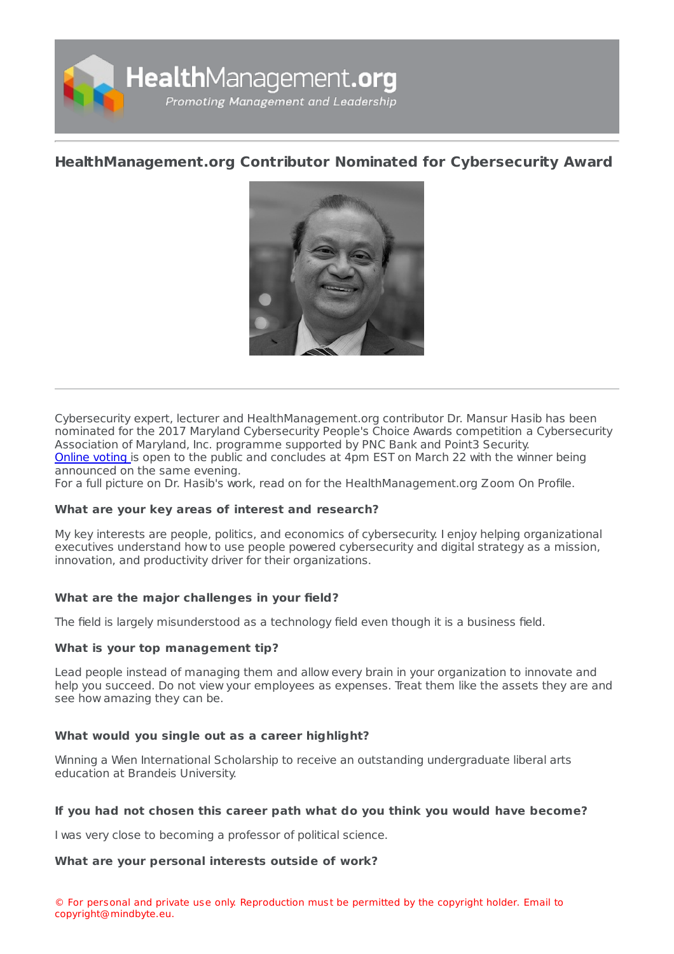

# **[HealthManagement.org](https://healthmanagement.org/s/healthmanagement-org-contributor-nominated-for-cybersecurity-award) Contributor Nominated for Cybersecurity Award**



Cybersecurity expert, lecturer and HealthManagement.org contributor Dr. Mansur Hasib has been nominated for the 2017 Maryland Cybersecurity People's Choice Awards competition a Cybersecurity Association of Maryland, Inc. programme supported by PNC Bank and Point3 Security. [Online](https://www.mdcyber.com/peoples-choice-award/) voting is open to the public and concludes at 4pm EST on March 22 with the winner being announced on the same evening.

For a full picture on Dr. Hasib's work, read on for the HealthManagement.org Zoom On Profile.

### **What are your key areas of interest and research?**

My key interests are people, politics, and economics of cybersecurity. I enjoy helping organizational executives understand how to use people powered cybersecurity and digital strategy as a mission, innovation, and productivity driver for their organizations.

### **What are the major challenges in your field?**

The field is largely misunderstood as a technology field even though it is a business field.

### **What is your top management tip?**

Lead people instead of managing them and allow every brain in your organization to innovate and help you succeed. Do not view your employees as expenses. Treat them like the assets they are and see how amazing they can be.

### **What would you single out as a career highlight?**

Winning a Wien International Scholarship to receive an outstanding undergraduate liberal arts education at Brandeis University.

### **If you had not chosen this career path what do you think you would have become?**

I was very close to becoming a professor of political science.

### **What are your personal interests outside of work?**

© For personal and private use only. Reproduction must be permitted by the copyright holder. Email to copyright@mindbyte.eu.